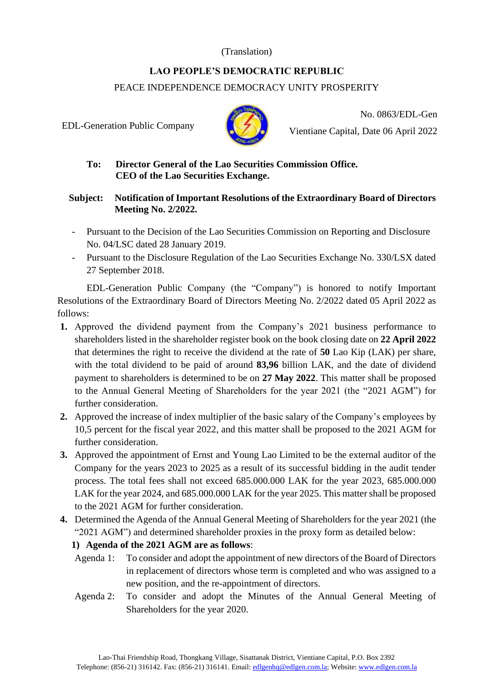### (Translation)

# **LAO PEOPLE'S DEMOCRATIC REPUBLIC**  PEACE INDEPENDENCE DEMOCRACY UNITY PROSPERITY

EDL-Generation Public Company



No. 0863/EDL-Gen Vientiane Capital, Date 06 April 2022

### **To: Director General of the Lao Securities Commission Office. CEO of the Lao Securities Exchange.**

#### **Subject: Notification of Important Resolutions of the Extraordinary Board of Directors Meeting No. 2/2022.**

- Pursuant to the Decision of the Lao Securities Commission on Reporting and Disclosure No. 04/LSC dated 28 January 2019.
- Pursuant to the Disclosure Regulation of the Lao Securities Exchange No. 330/LSX dated 27 September 2018.

EDL-Generation Public Company (the "Company") is honored to notify Important Resolutions of the Extraordinary Board of Directors Meeting No. 2/2022 dated 05 April 2022 as follows:

- **1.** Approved the dividend payment from the Company's 2021 business performance to shareholders listed in the shareholder register book on the book closing date on **22 April 2022** that determines the right to receive the dividend at the rate of **50** Lao Kip (LAK) per share, with the total dividend to be paid of around **83,96** billion LAK, and the date of dividend payment to shareholders is determined to be on **27 May 2022**. This matter shall be proposed to the Annual General Meeting of Shareholders for the year 2021 (the "2021 AGM") for further consideration.
- **2.** Approved the increase of index multiplier of the basic salary of the Company's employees by 10,5 percent for the fiscal year 2022, and this matter shall be proposed to the 2021 AGM for further consideration.
- **3.** Approved the appointment of Ernst and Young Lao Limited to be the external auditor of the Company for the years 2023 to 2025 as a result of its successful bidding in the audit tender process. The total fees shall not exceed 685.000.000 LAK for the year 2023, 685.000.000 LAK for the year 2024, and 685.000.000 LAK for the year 2025. This matter shall be proposed to the 2021 AGM for further consideration.
- **4.** Determined the Agenda of the Annual General Meeting of Shareholders for the year 2021 (the "2021 AGM") and determined shareholder proxies in the proxy form as detailed below:

## **1) Agenda of the 2021 AGM are as follows**:

- Agenda 1: To consider and adopt the appointment of new directors of the Board of Directors in replacement of directors whose term is completed and who was assigned to a new position, and the re-appointment of directors.
- Agenda 2: To consider and adopt the Minutes of the Annual General Meeting of Shareholders for the year 2020.